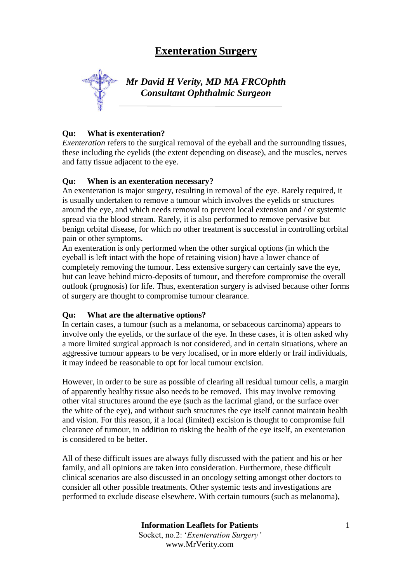# **Exenteration Surgery**



*Mr David H Verity, MD MA FRCOphth Consultant Ophthalmic Surgeon*

## **Qu: What is exenteration?**

*Exenteration* refers to the surgical removal of the eyeball and the surrounding tissues, these including the eyelids (the extent depending on disease), and the muscles, nerves and fatty tissue adjacent to the eye.

## **Qu: When is an exenteration necessary?**

An exenteration is major surgery, resulting in removal of the eye. Rarely required, it is usually undertaken to remove a tumour which involves the eyelids or structures around the eye, and which needs removal to prevent local extension and / or systemic spread via the blood stream. Rarely, it is also performed to remove pervasive but benign orbital disease, for which no other treatment is successful in controlling orbital pain or other symptoms.

An exenteration is only performed when the other surgical options (in which the eyeball is left intact with the hope of retaining vision) have a lower chance of completely removing the tumour. Less extensive surgery can certainly save the eye, but can leave behind micro-deposits of tumour, and therefore compromise the overall outlook (prognosis) for life. Thus, exenteration surgery is advised because other forms of surgery are thought to compromise tumour clearance.

## **Qu: What are the alternative options?**

In certain cases, a tumour (such as a melanoma, or sebaceous carcinoma) appears to involve only the eyelids, or the surface of the eye. In these cases, it is often asked why a more limited surgical approach is not considered, and in certain situations, where an aggressive tumour appears to be very localised, or in more elderly or frail individuals, it may indeed be reasonable to opt for local tumour excision.

However, in order to be sure as possible of clearing all residual tumour cells, a margin of apparently healthy tissue also needs to be removed. This may involve removing other vital structures around the eye (such as the lacrimal gland, or the surface over the white of the eye), and without such structures the eye itself cannot maintain health and vision. For this reason, if a local (limited) excision is thought to compromise full clearance of tumour, in addition to risking the health of the eye itself, an exenteration is considered to be better.

All of these difficult issues are always fully discussed with the patient and his or her family, and all opinions are taken into consideration. Furthermore, these difficult clinical scenarios are also discussed in an oncology setting amongst other doctors to consider all other possible treatments. Other systemic tests and investigations are performed to exclude disease elsewhere. With certain tumours (such as melanoma),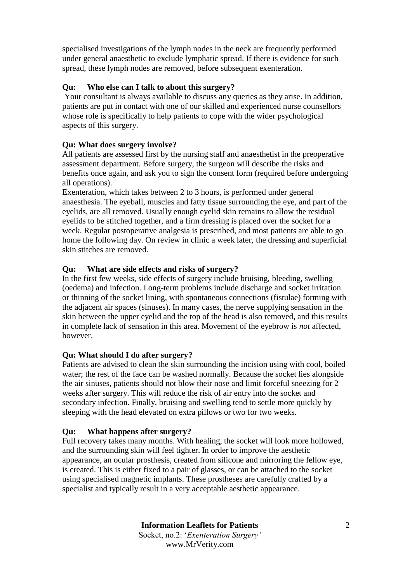specialised investigations of the lymph nodes in the neck are frequently performed under general anaesthetic to exclude lymphatic spread. If there is evidence for such spread, these lymph nodes are removed, before subsequent exenteration.

# **Qu: Who else can I talk to about this surgery?**

Your consultant is always available to discuss any queries as they arise. In addition, patients are put in contact with one of our skilled and experienced nurse counsellors whose role is specifically to help patients to cope with the wider psychological aspects of this surgery.

## **Qu: What does surgery involve?**

All patients are assessed first by the nursing staff and anaesthetist in the preoperative assessment department. Before surgery, the surgeon will describe the risks and benefits once again, and ask you to sign the consent form (required before undergoing all operations).

Exenteration, which takes between 2 to 3 hours, is performed under general anaesthesia. The eyeball, muscles and fatty tissue surrounding the eye, and part of the eyelids, are all removed. Usually enough eyelid skin remains to allow the residual eyelids to be stitched together, and a firm dressing is placed over the socket for a week. Regular postoperative analgesia is prescribed, and most patients are able to go home the following day. On review in clinic a week later, the dressing and superficial skin stitches are removed.

## **Qu: What are side effects and risks of surgery?**

In the first few weeks, side effects of surgery include bruising, bleeding, swelling (oedema) and infection. Long-term problems include discharge and socket irritation or thinning of the socket lining, with spontaneous connections (fistulae) forming with the adjacent air spaces (sinuses). In many cases, the nerve supplying sensation in the skin between the upper eyelid and the top of the head is also removed, and this results in complete lack of sensation in this area. Movement of the eyebrow is *not* affected, however.

## **Qu: What should I do after surgery?**

Patients are advised to clean the skin surrounding the incision using with cool, boiled water; the rest of the face can be washed normally. Because the socket lies alongside the air sinuses, patients should not blow their nose and limit forceful sneezing for 2 weeks after surgery. This will reduce the risk of air entry into the socket and secondary infection. Finally, bruising and swelling tend to settle more quickly by sleeping with the head elevated on extra pillows or two for two weeks.

## **Qu: What happens after surgery?**

Full recovery takes many months. With healing, the socket will look more hollowed, and the surrounding skin will feel tighter. In order to improve the aesthetic appearance, an ocular prosthesis, created from silicone and mirroring the fellow eye, is created. This is either fixed to a pair of glasses, or can be attached to the socket using specialised magnetic implants. These prostheses are carefully crafted by a specialist and typically result in a very acceptable aesthetic appearance.